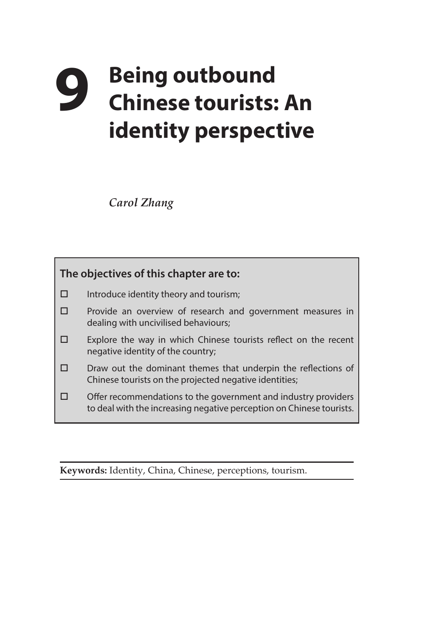## **9 Being outbound Chinese tourists: An identity perspective**

*Carol Zhang* 



**Keywords:** Identity, China, Chinese, perceptions, tourism.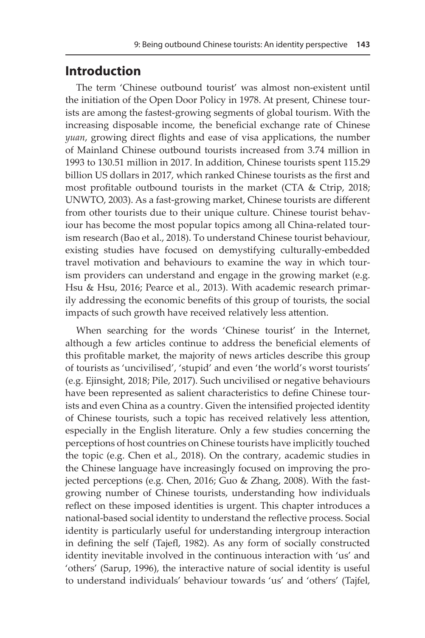## **Introduction**

The term 'Chinese outbound tourist' was almost non-existent until the initiation of the Open Door Policy in 1978. At present, Chinese tourists are among the fastest-growing segments of global tourism. With the increasing disposable income, the beneficial exchange rate of Chinese *yuan*, growing direct flights and ease of visa applications, the number of Mainland Chinese outbound tourists increased from 3.74 million in 1993 to 130.51 million in 2017. In addition, Chinese tourists spent 115.29 billion US dollars in 2017, which ranked Chinese tourists as the first and most profitable outbound tourists in the market (CTA & Ctrip, 2018; UNWTO, 2003). As a fast-growing market, Chinese tourists are different from other tourists due to their unique culture. Chinese tourist behaviour has become the most popular topics among all China-related tourism research (Bao et al., 2018). To understand Chinese tourist behaviour, existing studies have focused on demystifying culturally-embedded travel motivation and behaviours to examine the way in which tourism providers can understand and engage in the growing market (e.g. Hsu & Hsu, 2016; Pearce et al., 2013). With academic research primarily addressing the economic benefits of this group of tourists, the social impacts of such growth have received relatively less attention.

When searching for the words 'Chinese tourist' in the Internet, although a few articles continue to address the beneficial elements of this profitable market, the majority of news articles describe this group of tourists as 'uncivilised', 'stupid' and even 'the world's worst tourists' (e.g. Ejinsight, 2018; Pile, 2017). Such uncivilised or negative behaviours have been represented as salient characteristics to define Chinese tourists and even China as a country. Given the intensified projected identity of Chinese tourists, such a topic has received relatively less attention, especially in the English literature. Only a few studies concerning the perceptions of host countries on Chinese tourists have implicitly touched the topic (e.g. Chen et al., 2018). On the contrary, academic studies in the Chinese language have increasingly focused on improving the projected perceptions (e.g. Chen, 2016; Guo & Zhang, 2008). With the fastgrowing number of Chinese tourists, understanding how individuals reflect on these imposed identities is urgent. This chapter introduces a national-based social identity to understand the reflective process. Social identity is particularly useful for understanding intergroup interaction in defining the self (Tajefl, 1982). As any form of socially constructed identity inevitable involved in the continuous interaction with 'us' and 'others' (Sarup, 1996), the interactive nature of social identity is useful to understand individuals' behaviour towards 'us' and 'others' (Tajfel,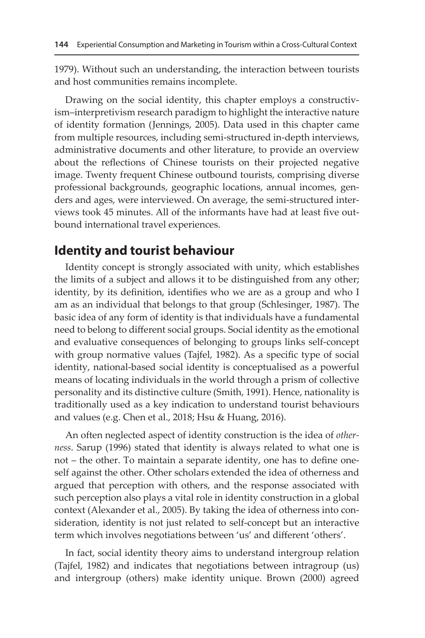1979). Without such an understanding, the interaction between tourists and host communities remains incomplete.

Drawing on the social identity, this chapter employs a constructivism–interpretivism research paradigm to highlight the interactive nature of identity formation (Jennings, 2005). Data used in this chapter came from multiple resources, including semi-structured in-depth interviews, administrative documents and other literature, to provide an overview about the reflections of Chinese tourists on their projected negative image. Twenty frequent Chinese outbound tourists, comprising diverse professional backgrounds, geographic locations, annual incomes, genders and ages, were interviewed. On average, the semi-structured interviews took 45 minutes. All of the informants have had at least five outbound international travel experiences.

## **Identity and tourist behaviour**

Identity concept is strongly associated with unity, which establishes the limits of a subject and allows it to be distinguished from any other; identity, by its definition, identifies who we are as a group and who I am as an individual that belongs to that group (Schlesinger, 1987). The basic idea of any form of identity is that individuals have a fundamental need to belong to different social groups. Social identity as the emotional and evaluative consequences of belonging to groups links self-concept with group normative values (Tajfel, 1982). As a specific type of social identity, national-based social identity is conceptualised as a powerful means of locating individuals in the world through a prism of collective personality and its distinctive culture (Smith, 1991). Hence, nationality is traditionally used as a key indication to understand tourist behaviours and values (e.g. Chen et al., 2018; Hsu & Huang, 2016).

An often neglected aspect of identity construction is the idea of *otherness*. Sarup (1996) stated that identity is always related to what one is not – the other. To maintain a separate identity, one has to define oneself against the other. Other scholars extended the idea of otherness and argued that perception with others, and the response associated with such perception also plays a vital role in identity construction in a global context (Alexander et al., 2005). By taking the idea of otherness into consideration, identity is not just related to self-concept but an interactive term which involves negotiations between 'us' and different 'others'.

In fact, social identity theory aims to understand intergroup relation (Tajfel, 1982) and indicates that negotiations between intragroup (us) and intergroup (others) make identity unique. Brown (2000) agreed